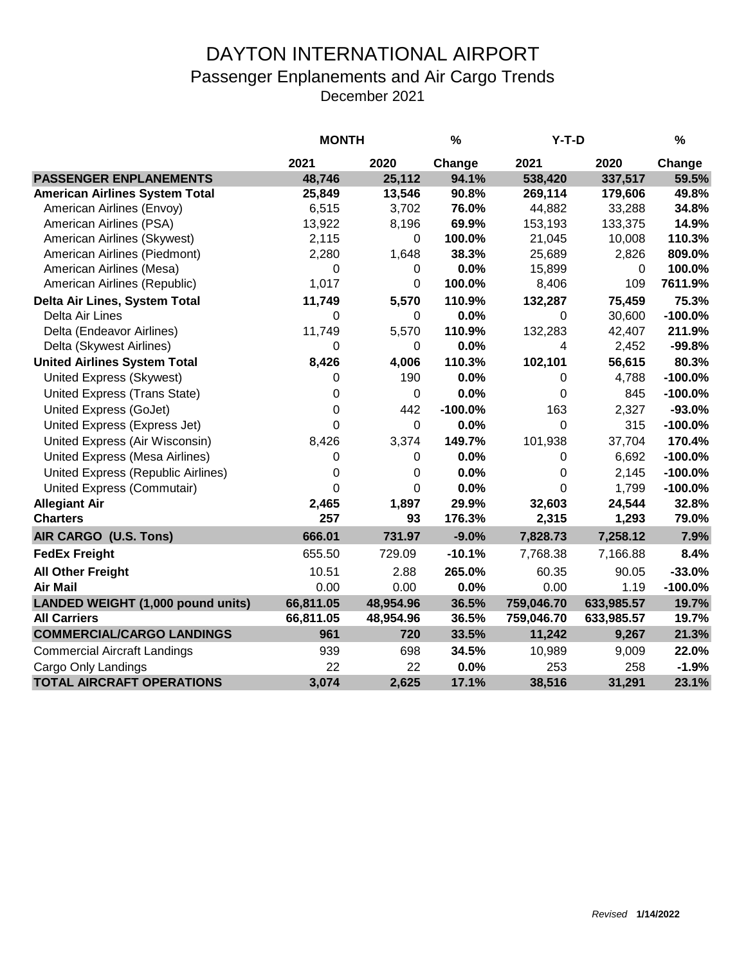#### DAYTON INTERNATIONAL AIRPORT Passenger Enplanements and Air Cargo Trends December 2021

|                                          | <b>MONTH</b> |             | %         | $Y-T-D$    |            | %          |
|------------------------------------------|--------------|-------------|-----------|------------|------------|------------|
|                                          | 2021         | 2020        | Change    | 2021       | 2020       | Change     |
| <b>PASSENGER ENPLANEMENTS</b>            | 48,746       | 25,112      | 94.1%     | 538,420    | 337,517    | 59.5%      |
| <b>American Airlines System Total</b>    | 25,849       | 13,546      | 90.8%     | 269,114    | 179,606    | 49.8%      |
| American Airlines (Envoy)                | 6,515        | 3,702       | 76.0%     | 44,882     | 33,288     | 34.8%      |
| American Airlines (PSA)                  | 13,922       | 8,196       | 69.9%     | 153,193    | 133,375    | 14.9%      |
| American Airlines (Skywest)              | 2,115        | 0           | 100.0%    | 21,045     | 10,008     | 110.3%     |
| American Airlines (Piedmont)             | 2,280        | 1,648       | 38.3%     | 25,689     | 2,826      | 809.0%     |
| American Airlines (Mesa)                 | 0            | 0           | 0.0%      | 15,899     | 0          | 100.0%     |
| American Airlines (Republic)             | 1,017        | 0           | 100.0%    | 8,406      | 109        | 7611.9%    |
| Delta Air Lines, System Total            | 11,749       | 5,570       | 110.9%    | 132,287    | 75,459     | 75.3%      |
| Delta Air Lines                          | 0            | 0           | 0.0%      | 0          | 30,600     | $-100.0%$  |
| Delta (Endeavor Airlines)                | 11,749       | 5,570       | 110.9%    | 132,283    | 42,407     | 211.9%     |
| Delta (Skywest Airlines)                 | $\Omega$     | 0           | 0.0%      | 4          | 2,452      | $-99.8%$   |
| <b>United Airlines System Total</b>      | 8,426        | 4,006       | 110.3%    | 102,101    | 56,615     | 80.3%      |
| United Express (Skywest)                 | 0            | 190         | 0.0%      | 0          | 4,788      | $-100.0%$  |
| United Express (Trans State)             | 0            | $\mathbf 0$ | 0.0%      | 0          | 845        | $-100.0\%$ |
| <b>United Express (GoJet)</b>            | 0            | 442         | $-100.0%$ | 163        | 2,327      | $-93.0%$   |
| United Express (Express Jet)             | $\Omega$     | $\mathbf 0$ | 0.0%      | 0          | 315        | $-100.0%$  |
| United Express (Air Wisconsin)           | 8,426        | 3,374       | 149.7%    | 101,938    | 37,704     | 170.4%     |
| United Express (Mesa Airlines)           | 0            | 0           | 0.0%      | 0          | 6,692      | $-100.0%$  |
| United Express (Republic Airlines)       | 0            | 0           | 0.0%      | 0          | 2,145      | $-100.0\%$ |
| United Express (Commutair)               | $\Omega$     | $\Omega$    | 0.0%      | 0          | 1,799      | $-100.0\%$ |
| <b>Allegiant Air</b>                     | 2,465        | 1,897       | 29.9%     | 32,603     | 24,544     | 32.8%      |
| <b>Charters</b>                          | 257          | 93          | 176.3%    | 2,315      | 1,293      | 79.0%      |
| AIR CARGO (U.S. Tons)                    | 666.01       | 731.97      | $-9.0%$   | 7,828.73   | 7,258.12   | 7.9%       |
| <b>FedEx Freight</b>                     | 655.50       | 729.09      | $-10.1%$  | 7,768.38   | 7,166.88   | 8.4%       |
| <b>All Other Freight</b>                 | 10.51        | 2.88        | 265.0%    | 60.35      | 90.05      | $-33.0%$   |
| <b>Air Mail</b>                          | 0.00         | 0.00        | 0.0%      | 0.00       | 1.19       | $-100.0%$  |
| <b>LANDED WEIGHT (1,000 pound units)</b> | 66,811.05    | 48,954.96   | 36.5%     | 759,046.70 | 633,985.57 | 19.7%      |
| <b>All Carriers</b>                      | 66,811.05    | 48,954.96   | 36.5%     | 759,046.70 | 633,985.57 | 19.7%      |
| <b>COMMERCIAL/CARGO LANDINGS</b>         | 961          | 720         | 33.5%     | 11,242     | 9,267      | 21.3%      |
| <b>Commercial Aircraft Landings</b>      | 939          | 698         | 34.5%     | 10,989     | 9,009      | 22.0%      |
| Cargo Only Landings                      | 22           | 22          | 0.0%      | 253        | 258        | $-1.9%$    |
| <b>TOTAL AIRCRAFT OPERATIONS</b>         | 3,074        | 2,625       | 17.1%     | 38,516     | 31,291     | 23.1%      |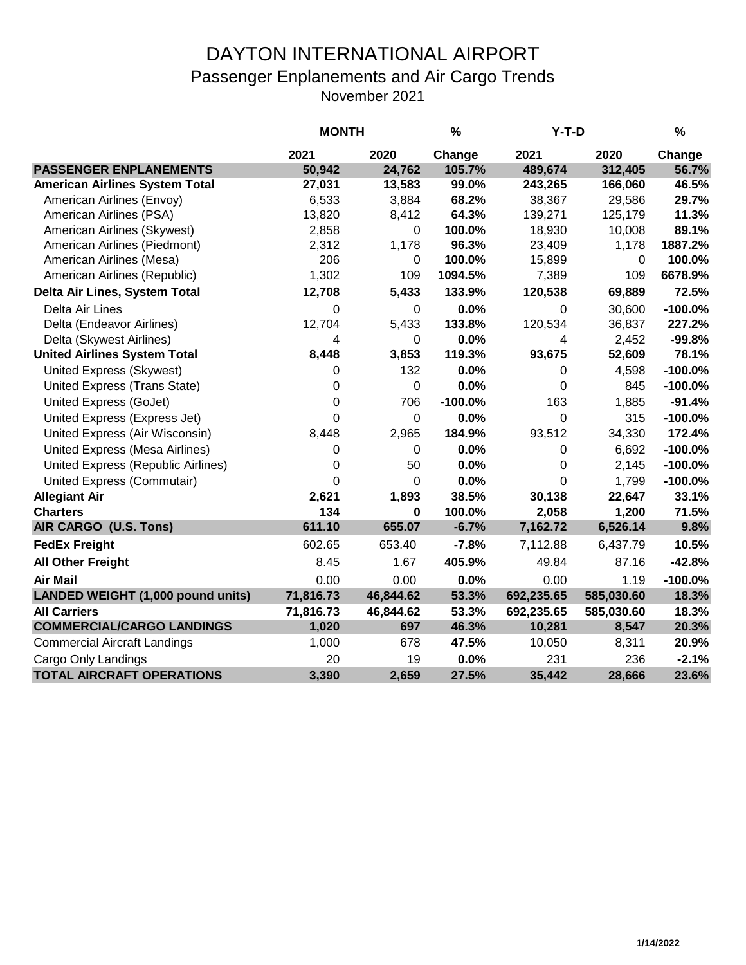# DAYTON INTERNATIONAL AIRPORT Passenger Enplanements and Air Cargo Trends

November 2021

|                                       | <b>MONTH</b>   |             | %         | $Y-T-D$        |            | %         |
|---------------------------------------|----------------|-------------|-----------|----------------|------------|-----------|
|                                       | 2021           | 2020        | Change    | 2021           | 2020       | Change    |
| <b>PASSENGER ENPLANEMENTS</b>         | 50,942         | 24,762      | 105.7%    | 489,674        | 312,405    | 56.7%     |
| <b>American Airlines System Total</b> | 27,031         | 13,583      | 99.0%     | 243,265        | 166,060    | 46.5%     |
| American Airlines (Envoy)             | 6,533          | 3,884       | 68.2%     | 38,367         | 29,586     | 29.7%     |
| American Airlines (PSA)               | 13,820         | 8,412       | 64.3%     | 139,271        | 125,179    | 11.3%     |
| American Airlines (Skywest)           | 2,858          | $\Omega$    | 100.0%    | 18,930         | 10,008     | 89.1%     |
| American Airlines (Piedmont)          | 2,312          | 1,178       | 96.3%     | 23,409         | 1,178      | 1887.2%   |
| American Airlines (Mesa)              | 206            | 0           | 100.0%    | 15,899         | 0          | 100.0%    |
| American Airlines (Republic)          | 1,302          | 109         | 1094.5%   | 7,389          | 109        | 6678.9%   |
| Delta Air Lines, System Total         | 12,708         | 5,433       | 133.9%    | 120,538        | 69,889     | 72.5%     |
| Delta Air Lines                       | 0              | 0           | 0.0%      | $\overline{0}$ | 30,600     | $-100.0%$ |
| Delta (Endeavor Airlines)             | 12,704         | 5,433       | 133.8%    | 120,534        | 36,837     | 227.2%    |
| Delta (Skywest Airlines)              | 4              | 0           | 0.0%      | 4              | 2,452      | $-99.8%$  |
| <b>United Airlines System Total</b>   | 8,448          | 3,853       | 119.3%    | 93,675         | 52,609     | 78.1%     |
| United Express (Skywest)              | 0              | 132         | 0.0%      | 0              | 4,598      | $-100.0%$ |
| United Express (Trans State)          | 0              | $\mathbf 0$ | 0.0%      | 0              | 845        | $-100.0%$ |
| <b>United Express (GoJet)</b>         | 0              | 706         | $-100.0%$ | 163            | 1,885      | $-91.4%$  |
| United Express (Express Jet)          | $\mathbf 0$    | $\mathbf 0$ | 0.0%      | 0              | 315        | $-100.0%$ |
| United Express (Air Wisconsin)        | 8,448          | 2,965       | 184.9%    | 93,512         | 34,330     | 172.4%    |
| United Express (Mesa Airlines)        | 0              | 0           | 0.0%      | 0              | 6,692      | $-100.0%$ |
| United Express (Republic Airlines)    | 0              | 50          | 0.0%      | 0              | 2,145      | $-100.0%$ |
| United Express (Commutair)            | $\overline{0}$ | $\Omega$    | 0.0%      | 0              | 1,799      | $-100.0%$ |
| <b>Allegiant Air</b>                  | 2,621          | 1,893       | 38.5%     | 30,138         | 22,647     | 33.1%     |
| <b>Charters</b>                       | 134            | $\pmb{0}$   | 100.0%    | 2,058          | 1,200      | 71.5%     |
| AIR CARGO (U.S. Tons)                 | 611.10         | 655.07      | $-6.7%$   | 7,162.72       | 6,526.14   | 9.8%      |
| <b>FedEx Freight</b>                  | 602.65         | 653.40      | $-7.8%$   | 7,112.88       | 6,437.79   | 10.5%     |
| <b>All Other Freight</b>              | 8.45           | 1.67        | 405.9%    | 49.84          | 87.16      | $-42.8%$  |
| <b>Air Mail</b>                       | 0.00           | 0.00        | 0.0%      | 0.00           | 1.19       | $-100.0%$ |
| LANDED WEIGHT (1,000 pound units)     | 71,816.73      | 46,844.62   | 53.3%     | 692,235.65     | 585,030.60 | 18.3%     |
| <b>All Carriers</b>                   | 71,816.73      | 46,844.62   | 53.3%     | 692,235.65     | 585,030.60 | 18.3%     |
| <b>COMMERCIAL/CARGO LANDINGS</b>      | 1,020          | 697         | 46.3%     | 10,281         | 8,547      | 20.3%     |
| <b>Commercial Aircraft Landings</b>   | 1,000          | 678         | 47.5%     | 10,050         | 8,311      | 20.9%     |
| Cargo Only Landings                   | 20             | 19          | 0.0%      | 231            | 236        | $-2.1%$   |
| <b>TOTAL AIRCRAFT OPERATIONS</b>      | 3,390          | 2,659       | 27.5%     | 35,442         | 28,666     | 23.6%     |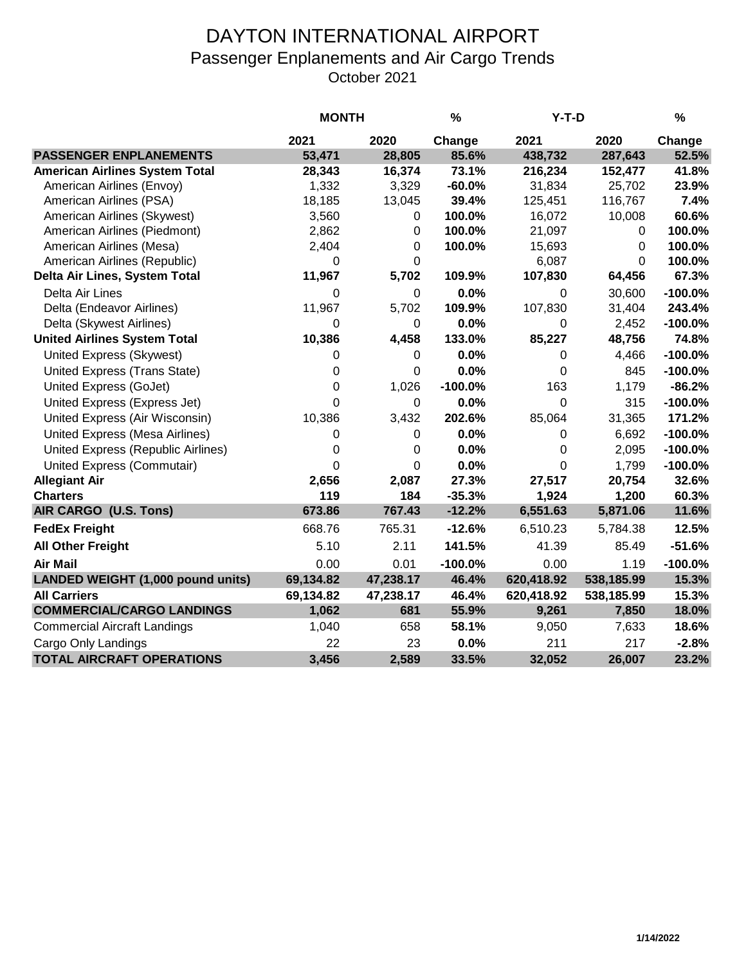#### DAYTON INTERNATIONAL AIRPORT Passenger Enplanements and Air Cargo Trends October 2021

|                                          | <b>MONTH</b> |           | %         | $Y-T-D$          |             | %          |
|------------------------------------------|--------------|-----------|-----------|------------------|-------------|------------|
|                                          | 2021         | 2020      | Change    | 2021             | 2020        | Change     |
| <b>PASSENGER ENPLANEMENTS</b>            | 53,471       | 28,805    | 85.6%     | 438,732          | 287,643     | 52.5%      |
| <b>American Airlines System Total</b>    | 28,343       | 16,374    | 73.1%     | 216,234          | 152,477     | 41.8%      |
| American Airlines (Envoy)                | 1,332        | 3,329     | $-60.0%$  | 31,834           | 25,702      | 23.9%      |
| American Airlines (PSA)                  | 18,185       | 13,045    | 39.4%     | 125,451          | 116,767     | 7.4%       |
| American Airlines (Skywest)              | 3,560        | 0         | 100.0%    | 16,072           | 10,008      | 60.6%      |
| American Airlines (Piedmont)             | 2,862        | 0         | 100.0%    | 21,097           | 0           | 100.0%     |
| American Airlines (Mesa)                 | 2,404        | 0         | 100.0%    | 15,693           | 0           | 100.0%     |
| American Airlines (Republic)             | 0            | 0         |           | 6,087            | $\mathbf 0$ | 100.0%     |
| Delta Air Lines, System Total            | 11,967       | 5,702     | 109.9%    | 107,830          | 64,456      | 67.3%      |
| Delta Air Lines                          | 0            | 0         | 0.0%      | $\boldsymbol{0}$ | 30,600      | $-100.0%$  |
| Delta (Endeavor Airlines)                | 11,967       | 5,702     | 109.9%    | 107,830          | 31,404      | 243.4%     |
| Delta (Skywest Airlines)                 | 0            | 0         | 0.0%      | 0                | 2,452       | $-100.0\%$ |
| <b>United Airlines System Total</b>      | 10,386       | 4,458     | 133.0%    | 85,227           | 48,756      | 74.8%      |
| United Express (Skywest)                 | 0            | 0         | 0.0%      | 0                | 4,466       | $-100.0\%$ |
| United Express (Trans State)             | 0            | 0         | 0.0%      | 0                | 845         | $-100.0\%$ |
| United Express (GoJet)                   | $\Omega$     | 1,026     | $-100.0%$ | 163              | 1,179       | $-86.2%$   |
| United Express (Express Jet)             | 0            | 0         | 0.0%      | $\mathbf 0$      | 315         | $-100.0%$  |
| United Express (Air Wisconsin)           | 10,386       | 3,432     | 202.6%    | 85,064           | 31,365      | 171.2%     |
| United Express (Mesa Airlines)           | 0            | 0         | 0.0%      | 0                | 6,692       | $-100.0%$  |
| United Express (Republic Airlines)       | 0            | 0         | 0.0%      | 0                | 2,095       | $-100.0\%$ |
| United Express (Commutair)               | $\Omega$     | 0         | 0.0%      | 0                | 1,799       | $-100.0%$  |
| <b>Allegiant Air</b>                     | 2,656        | 2,087     | 27.3%     | 27,517           | 20,754      | 32.6%      |
| <b>Charters</b>                          | 119          | 184       | $-35.3%$  | 1,924            | 1,200       | 60.3%      |
| AIR CARGO (U.S. Tons)                    | 673.86       | 767.43    | $-12.2%$  | 6,551.63         | 5,871.06    | 11.6%      |
| <b>FedEx Freight</b>                     | 668.76       | 765.31    | $-12.6%$  | 6,510.23         | 5,784.38    | 12.5%      |
| <b>All Other Freight</b>                 | 5.10         | 2.11      | 141.5%    | 41.39            | 85.49       | $-51.6%$   |
| <b>Air Mail</b>                          | 0.00         | 0.01      | $-100.0%$ | 0.00             | 1.19        | $-100.0%$  |
| <b>LANDED WEIGHT (1,000 pound units)</b> | 69,134.82    | 47,238.17 | 46.4%     | 620,418.92       | 538,185.99  | 15.3%      |
| <b>All Carriers</b>                      | 69,134.82    | 47,238.17 | 46.4%     | 620,418.92       | 538,185.99  | 15.3%      |
| <b>COMMERCIAL/CARGO LANDINGS</b>         | 1,062        | 681       | 55.9%     | 9,261            | 7,850       | 18.0%      |
| <b>Commercial Aircraft Landings</b>      | 1,040        | 658       | 58.1%     | 9,050            | 7,633       | 18.6%      |
| Cargo Only Landings                      | 22           | 23        | 0.0%      | 211              | 217         | $-2.8%$    |
| <b>TOTAL AIRCRAFT OPERATIONS</b>         | 3,456        | 2,589     | 33.5%     | 32,052           | 26,007      | 23.2%      |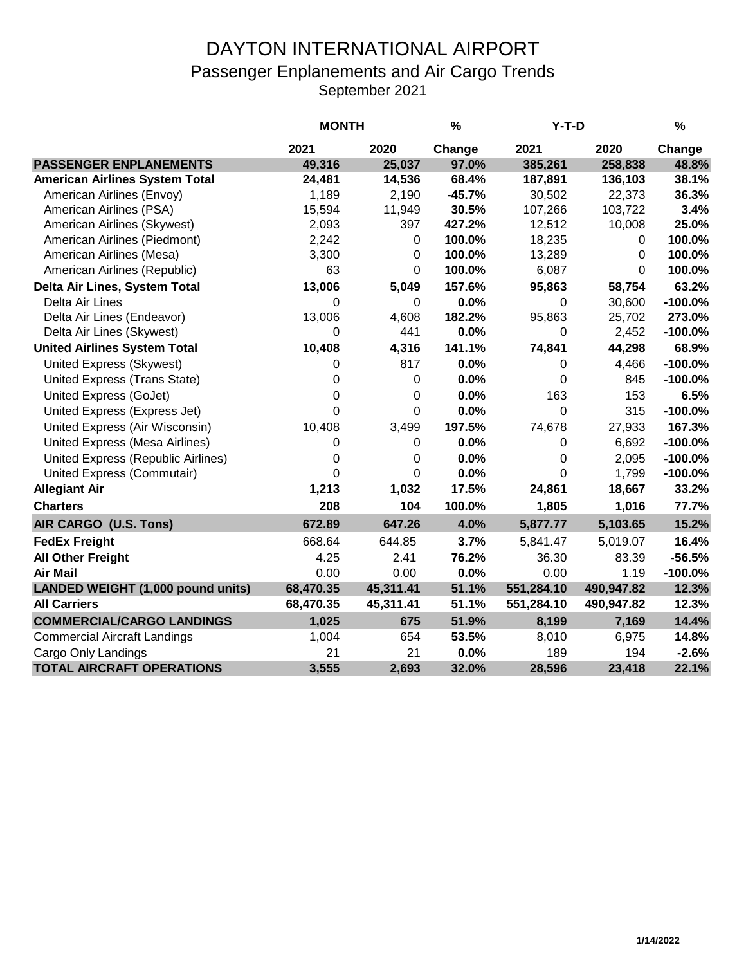# DAYTON INTERNATIONAL AIRPORT Passenger Enplanements and Air Cargo Trends

September 2021

|                                       | <b>MONTH</b> |           | %        | Y-T-D       |             | %          |
|---------------------------------------|--------------|-----------|----------|-------------|-------------|------------|
|                                       | 2021         | 2020      | Change   | 2021        | 2020        | Change     |
| <b>PASSENGER ENPLANEMENTS</b>         | 49,316       | 25,037    | 97.0%    | 385,261     | 258,838     | 48.8%      |
| <b>American Airlines System Total</b> | 24,481       | 14,536    | 68.4%    | 187,891     | 136,103     | 38.1%      |
| American Airlines (Envoy)             | 1,189        | 2,190     | $-45.7%$ | 30,502      | 22,373      | 36.3%      |
| American Airlines (PSA)               | 15,594       | 11,949    | 30.5%    | 107,266     | 103,722     | 3.4%       |
| American Airlines (Skywest)           | 2,093        | 397       | 427.2%   | 12,512      | 10,008      | 25.0%      |
| American Airlines (Piedmont)          | 2,242        | 0         | 100.0%   | 18,235      | 0           | 100.0%     |
| American Airlines (Mesa)              | 3,300        | 0         | 100.0%   | 13,289      | 0           | 100.0%     |
| American Airlines (Republic)          | 63           | $\pmb{0}$ | 100.0%   | 6,087       | $\mathbf 0$ | 100.0%     |
| Delta Air Lines, System Total         | 13,006       | 5,049     | 157.6%   | 95,863      | 58,754      | 63.2%      |
| Delta Air Lines                       | 0            | 0         | 0.0%     | 0           | 30,600      | $-100.0%$  |
| Delta Air Lines (Endeavor)            | 13,006       | 4,608     | 182.2%   | 95,863      | 25,702      | 273.0%     |
| Delta Air Lines (Skywest)             | 0            | 441       | 0.0%     | 0           | 2,452       | $-100.0%$  |
| <b>United Airlines System Total</b>   | 10,408       | 4,316     | 141.1%   | 74,841      | 44,298      | 68.9%      |
| United Express (Skywest)              | 0            | 817       | 0.0%     | 0           | 4,466       | $-100.0%$  |
| United Express (Trans State)          | 0            | 0         | 0.0%     | 0           | 845         | $-100.0\%$ |
| <b>United Express (GoJet)</b>         | 0            | 0         | 0.0%     | 163         | 153         | 6.5%       |
| United Express (Express Jet)          | 0            | $\Omega$  | 0.0%     | $\mathbf 0$ | 315         | $-100.0%$  |
| United Express (Air Wisconsin)        | 10,408       | 3,499     | 197.5%   | 74,678      | 27,933      | 167.3%     |
| United Express (Mesa Airlines)        | 0            | 0         | 0.0%     | 0           | 6,692       | $-100.0%$  |
| United Express (Republic Airlines)    | 0            | 0         | 0.0%     | 0           | 2,095       | $-100.0%$  |
| United Express (Commutair)            | 0            | $\Omega$  | 0.0%     | $\Omega$    | 1,799       | $-100.0\%$ |
| <b>Allegiant Air</b>                  | 1,213        | 1,032     | 17.5%    | 24,861      | 18,667      | 33.2%      |
| <b>Charters</b>                       | 208          | 104       | 100.0%   | 1,805       | 1,016       | 77.7%      |
| AIR CARGO (U.S. Tons)                 | 672.89       | 647.26    | 4.0%     | 5,877.77    | 5,103.65    | 15.2%      |
| <b>FedEx Freight</b>                  | 668.64       | 644.85    | 3.7%     | 5,841.47    | 5,019.07    | 16.4%      |
| <b>All Other Freight</b>              | 4.25         | 2.41      | 76.2%    | 36.30       | 83.39       | $-56.5%$   |
| <b>Air Mail</b>                       | 0.00         | 0.00      | 0.0%     | 0.00        | 1.19        | $-100.0\%$ |
| LANDED WEIGHT (1,000 pound units)     | 68,470.35    | 45,311.41 | 51.1%    | 551,284.10  | 490,947.82  | 12.3%      |
| <b>All Carriers</b>                   | 68,470.35    | 45,311.41 | 51.1%    | 551,284.10  | 490,947.82  | 12.3%      |
| <b>COMMERCIAL/CARGO LANDINGS</b>      | 1,025        | 675       | 51.9%    | 8,199       | 7,169       | 14.4%      |
| <b>Commercial Aircraft Landings</b>   | 1,004        | 654       | 53.5%    | 8,010       | 6,975       | 14.8%      |
| Cargo Only Landings                   | 21           | 21        | 0.0%     | 189         | 194         | $-2.6%$    |
| <b>TOTAL AIRCRAFT OPERATIONS</b>      | 3,555        | 2,693     | 32.0%    | 28,596      | 23,418      | 22.1%      |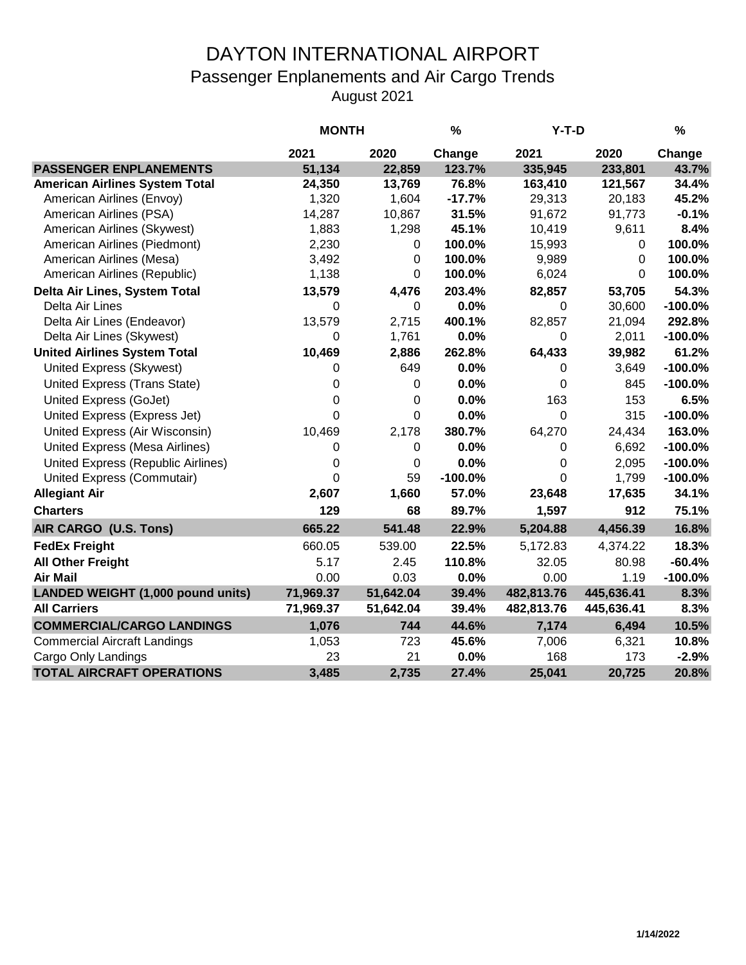## DAYTON INTERNATIONAL AIRPORT Passenger Enplanements and Air Cargo Trends August 2021

|                                          | <b>MONTH</b> |           | $\%$      | $Y-T-D$    |            | %         |
|------------------------------------------|--------------|-----------|-----------|------------|------------|-----------|
|                                          | 2021         | 2020      | Change    | 2021       | 2020       | Change    |
| <b>PASSENGER ENPLANEMENTS</b>            | 51,134       | 22,859    | 123.7%    | 335,945    | 233,801    | 43.7%     |
| <b>American Airlines System Total</b>    | 24,350       | 13,769    | 76.8%     | 163,410    | 121,567    | 34.4%     |
| American Airlines (Envoy)                | 1,320        | 1,604     | $-17.7%$  | 29,313     | 20,183     | 45.2%     |
| American Airlines (PSA)                  | 14,287       | 10,867    | 31.5%     | 91,672     | 91,773     | $-0.1%$   |
| American Airlines (Skywest)              | 1,883        | 1,298     | 45.1%     | 10,419     | 9,611      | 8.4%      |
| American Airlines (Piedmont)             | 2,230        | 0         | 100.0%    | 15,993     | $\Omega$   | 100.0%    |
| American Airlines (Mesa)                 | 3,492        | 0         | 100.0%    | 9,989      | 0          | 100.0%    |
| American Airlines (Republic)             | 1,138        | 0         | 100.0%    | 6,024      | 0          | 100.0%    |
| Delta Air Lines, System Total            | 13,579       | 4,476     | 203.4%    | 82,857     | 53,705     | 54.3%     |
| Delta Air Lines                          | 0            | 0         | 0.0%      | 0          | 30,600     | $-100.0%$ |
| Delta Air Lines (Endeavor)               | 13,579       | 2,715     | 400.1%    | 82,857     | 21,094     | 292.8%    |
| Delta Air Lines (Skywest)                | 0            | 1,761     | 0.0%      | 0          | 2,011      | $-100.0%$ |
| <b>United Airlines System Total</b>      | 10,469       | 2,886     | 262.8%    | 64,433     | 39,982     | 61.2%     |
| United Express (Skywest)                 | 0            | 649       | 0.0%      | 0          | 3,649      | $-100.0%$ |
| United Express (Trans State)             | 0            | 0         | 0.0%      | 0          | 845        | $-100.0%$ |
| <b>United Express (GoJet)</b>            | $\Omega$     | 0         | 0.0%      | 163        | 153        | 6.5%      |
| United Express (Express Jet)             | $\Omega$     | 0         | 0.0%      | $\Omega$   | 315        | $-100.0%$ |
| United Express (Air Wisconsin)           | 10,469       | 2,178     | 380.7%    | 64,270     | 24,434     | 163.0%    |
| United Express (Mesa Airlines)           | 0            | 0         | 0.0%      | 0          | 6,692      | $-100.0%$ |
| United Express (Republic Airlines)       | 0            | 0         | 0.0%      | 0          | 2,095      | $-100.0%$ |
| United Express (Commutair)               | $\Omega$     | 59        | $-100.0%$ | $\Omega$   | 1,799      | $-100.0%$ |
| <b>Allegiant Air</b>                     | 2,607        | 1,660     | 57.0%     | 23,648     | 17,635     | 34.1%     |
| <b>Charters</b>                          | 129          | 68        | 89.7%     | 1,597      | 912        | 75.1%     |
| AIR CARGO (U.S. Tons)                    | 665.22       | 541.48    | 22.9%     | 5,204.88   | 4,456.39   | 16.8%     |
| <b>FedEx Freight</b>                     | 660.05       | 539.00    | 22.5%     | 5,172.83   | 4,374.22   | 18.3%     |
| <b>All Other Freight</b>                 | 5.17         | 2.45      | 110.8%    | 32.05      | 80.98      | $-60.4%$  |
| <b>Air Mail</b>                          | 0.00         | 0.03      | 0.0%      | 0.00       | 1.19       | $-100.0%$ |
| <b>LANDED WEIGHT (1,000 pound units)</b> | 71,969.37    | 51,642.04 | 39.4%     | 482,813.76 | 445,636.41 | 8.3%      |
| <b>All Carriers</b>                      | 71,969.37    | 51,642.04 | 39.4%     | 482,813.76 | 445,636.41 | 8.3%      |
| <b>COMMERCIAL/CARGO LANDINGS</b>         | 1,076        | 744       | 44.6%     | 7,174      | 6,494      | 10.5%     |
| <b>Commercial Aircraft Landings</b>      | 1,053        | 723       | 45.6%     | 7,006      | 6,321      | 10.8%     |
| Cargo Only Landings                      | 23           | 21        | 0.0%      | 168        | 173        | $-2.9%$   |
| <b>TOTAL AIRCRAFT OPERATIONS</b>         | 3,485        | 2,735     | 27.4%     | 25,041     | 20,725     | 20.8%     |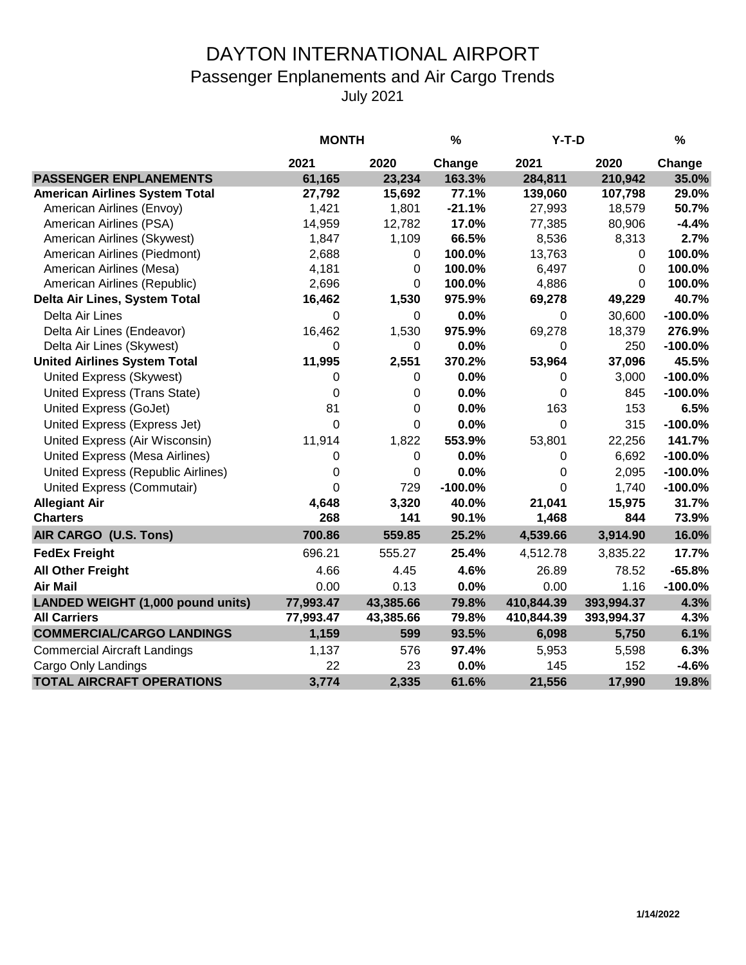## DAYTON INTERNATIONAL AIRPORT Passenger Enplanements and Air Cargo Trends July 2021

|                                       | <b>MONTH</b> |             | %         | $Y-T-D$    |            | $\frac{9}{6}$ |
|---------------------------------------|--------------|-------------|-----------|------------|------------|---------------|
|                                       | 2021         | 2020        | Change    | 2021       | 2020       | Change        |
| <b>PASSENGER ENPLANEMENTS</b>         | 61,165       | 23,234      | 163.3%    | 284,811    | 210,942    | 35.0%         |
| <b>American Airlines System Total</b> | 27,792       | 15,692      | 77.1%     | 139,060    | 107,798    | 29.0%         |
| American Airlines (Envoy)             | 1,421        | 1,801       | $-21.1%$  | 27,993     | 18,579     | 50.7%         |
| American Airlines (PSA)               | 14,959       | 12,782      | 17.0%     | 77,385     | 80,906     | $-4.4%$       |
| American Airlines (Skywest)           | 1,847        | 1,109       | 66.5%     | 8,536      | 8,313      | 2.7%          |
| American Airlines (Piedmont)          | 2,688        | $\mathbf 0$ | 100.0%    | 13,763     | 0          | 100.0%        |
| American Airlines (Mesa)              | 4,181        | 0           | 100.0%    | 6,497      | 0          | 100.0%        |
| American Airlines (Republic)          | 2,696        | 0           | 100.0%    | 4,886      | $\Omega$   | 100.0%        |
| Delta Air Lines, System Total         | 16,462       | 1,530       | 975.9%    | 69,278     | 49,229     | 40.7%         |
| Delta Air Lines                       | 0            | 0           | 0.0%      | 0          | 30,600     | $-100.0%$     |
| Delta Air Lines (Endeavor)            | 16,462       | 1,530       | 975.9%    | 69,278     | 18,379     | 276.9%        |
| Delta Air Lines (Skywest)             | $\Omega$     | 0           | 0.0%      | 0          | 250        | $-100.0\%$    |
| <b>United Airlines System Total</b>   | 11,995       | 2,551       | 370.2%    | 53,964     | 37,096     | 45.5%         |
| United Express (Skywest)              | 0            | 0           | 0.0%      | 0          | 3,000      | $-100.0%$     |
| United Express (Trans State)          | $\Omega$     | 0           | 0.0%      | 0          | 845        | $-100.0%$     |
| United Express (GoJet)                | 81           | 0           | 0.0%      | 163        | 153        | 6.5%          |
| United Express (Express Jet)          | $\mathbf 0$  | 0           | 0.0%      | $\Omega$   | 315        | $-100.0%$     |
| United Express (Air Wisconsin)        | 11,914       | 1,822       | 553.9%    | 53,801     | 22,256     | 141.7%        |
| United Express (Mesa Airlines)        | 0            | 0           | 0.0%      | 0          | 6,692      | $-100.0%$     |
| United Express (Republic Airlines)    | 0            | 0           | 0.0%      | 0          | 2,095      | $-100.0%$     |
| United Express (Commutair)            | 0            | 729         | $-100.0%$ | 0          | 1,740      | $-100.0%$     |
| <b>Allegiant Air</b>                  | 4,648        | 3,320       | 40.0%     | 21,041     | 15,975     | 31.7%         |
| <b>Charters</b>                       | 268          | 141         | 90.1%     | 1,468      | 844        | 73.9%         |
| AIR CARGO (U.S. Tons)                 | 700.86       | 559.85      | 25.2%     | 4,539.66   | 3,914.90   | 16.0%         |
| <b>FedEx Freight</b>                  | 696.21       | 555.27      | 25.4%     | 4,512.78   | 3,835.22   | 17.7%         |
| <b>All Other Freight</b>              | 4.66         | 4.45        | 4.6%      | 26.89      | 78.52      | $-65.8%$      |
| <b>Air Mail</b>                       | 0.00         | 0.13        | 0.0%      | 0.00       | 1.16       | $-100.0%$     |
| LANDED WEIGHT (1,000 pound units)     | 77,993.47    | 43,385.66   | 79.8%     | 410,844.39 | 393,994.37 | 4.3%          |
| <b>All Carriers</b>                   | 77,993.47    | 43,385.66   | 79.8%     | 410,844.39 | 393,994.37 | 4.3%          |
| <b>COMMERCIAL/CARGO LANDINGS</b>      | 1,159        | 599         | 93.5%     | 6,098      | 5,750      | 6.1%          |
| <b>Commercial Aircraft Landings</b>   | 1,137        | 576         | 97.4%     | 5,953      | 5,598      | 6.3%          |
| Cargo Only Landings                   | 22           | 23          | 0.0%      | 145        | 152        | $-4.6%$       |
| <b>TOTAL AIRCRAFT OPERATIONS</b>      | 3,774        | 2,335       | 61.6%     | 21,556     | 17,990     | 19.8%         |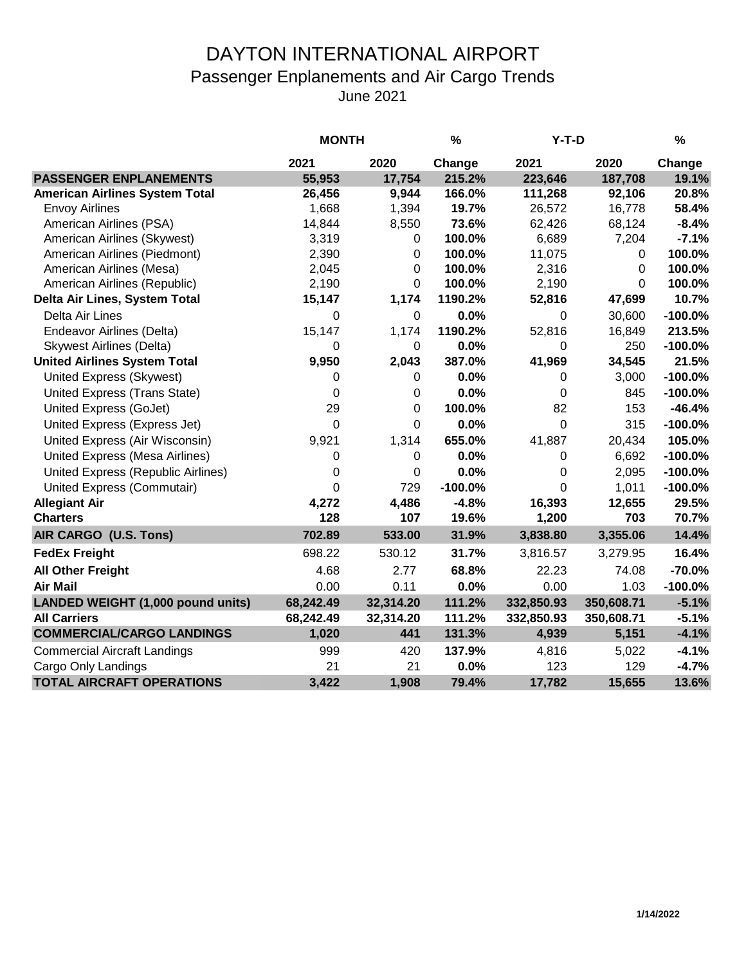#### DAYTON INTERNATIONAL AIRPORT Passenger Enplanements and Air Cargo Trends June 2021

|                                          | <b>MONTH</b> |             | $\%$      | $Y-T-D$    |             | %          |
|------------------------------------------|--------------|-------------|-----------|------------|-------------|------------|
|                                          | 2021         | 2020        | Change    | 2021       | 2020        | Change     |
| <b>PASSENGER ENPLANEMENTS</b>            | 55,953       | 17,754      | 215.2%    | 223,646    | 187,708     | 19.1%      |
| <b>American Airlines System Total</b>    | 26,456       | 9,944       | 166.0%    | 111,268    | 92,106      | 20.8%      |
| <b>Envoy Airlines</b>                    | 1,668        | 1,394       | 19.7%     | 26,572     | 16,778      | 58.4%      |
| American Airlines (PSA)                  | 14,844       | 8,550       | 73.6%     | 62,426     | 68,124      | $-8.4%$    |
| American Airlines (Skywest)              | 3,319        | 0           | 100.0%    | 6,689      | 7,204       | $-7.1%$    |
| American Airlines (Piedmont)             | 2,390        | 0           | 100.0%    | 11,075     | 0           | 100.0%     |
| American Airlines (Mesa)                 | 2,045        | $\mathbf 0$ | 100.0%    | 2,316      | $\mathbf 0$ | 100.0%     |
| American Airlines (Republic)             | 2,190        | 0           | 100.0%    | 2,190      | 0           | 100.0%     |
| Delta Air Lines, System Total            | 15,147       | 1,174       | 1190.2%   | 52,816     | 47,699      | 10.7%      |
| Delta Air Lines                          | 0            | $\mathbf 0$ | 0.0%      | 0          | 30,600      | $-100.0%$  |
| Endeavor Airlines (Delta)                | 15,147       | 1,174       | 1190.2%   | 52,816     | 16,849      | 213.5%     |
| <b>Skywest Airlines (Delta)</b>          | $\Omega$     | 0           | 0.0%      | 0          | 250         | $-100.0\%$ |
| <b>United Airlines System Total</b>      | 9,950        | 2,043       | 387.0%    | 41,969     | 34,545      | 21.5%      |
| United Express (Skywest)                 | 0            | $\mathbf 0$ | 0.0%      | 0          | 3,000       | $-100.0%$  |
| United Express (Trans State)             | 0            | 0           | 0.0%      | 0          | 845         | $-100.0\%$ |
| <b>United Express (GoJet)</b>            | 29           | $\pmb{0}$   | 100.0%    | 82         | 153         | $-46.4%$   |
| United Express (Express Jet)             | $\Omega$     | $\mathbf 0$ | 0.0%      | $\Omega$   | 315         | $-100.0\%$ |
| United Express (Air Wisconsin)           | 9,921        | 1,314       | 655.0%    | 41,887     | 20,434      | 105.0%     |
| United Express (Mesa Airlines)           | 0            | 0           | 0.0%      | 0          | 6,692       | $-100.0%$  |
| United Express (Republic Airlines)       | 0            | 0           | 0.0%      | 0          | 2,095       | $-100.0%$  |
| United Express (Commutair)               | $\Omega$     | 729         | $-100.0%$ | 0          | 1,011       | $-100.0%$  |
| <b>Allegiant Air</b>                     | 4,272        | 4,486       | $-4.8%$   | 16,393     | 12,655      | 29.5%      |
| <b>Charters</b>                          | 128          | 107         | 19.6%     | 1,200      | 703         | 70.7%      |
| AIR CARGO (U.S. Tons)                    | 702.89       | 533.00      | 31.9%     | 3,838.80   | 3,355.06    | 14.4%      |
| <b>FedEx Freight</b>                     | 698.22       | 530.12      | 31.7%     | 3,816.57   | 3,279.95    | 16.4%      |
| <b>All Other Freight</b>                 | 4.68         | 2.77        | 68.8%     | 22.23      | 74.08       | $-70.0%$   |
| <b>Air Mail</b>                          | 0.00         | 0.11        | 0.0%      | 0.00       | 1.03        | $-100.0%$  |
| <b>LANDED WEIGHT (1,000 pound units)</b> | 68,242.49    | 32,314.20   | 111.2%    | 332,850.93 | 350,608.71  | $-5.1%$    |
| <b>All Carriers</b>                      | 68,242.49    | 32,314.20   | 111.2%    | 332,850.93 | 350,608.71  | $-5.1%$    |
| <b>COMMERCIAL/CARGO LANDINGS</b>         | 1,020        | 441         | 131.3%    | 4,939      | 5,151       | $-4.1%$    |
| <b>Commercial Aircraft Landings</b>      | 999          | 420         | 137.9%    | 4,816      | 5,022       | $-4.1%$    |
| Cargo Only Landings                      | 21           | 21          | 0.0%      | 123        | 129         | $-4.7%$    |
| <b>TOTAL AIRCRAFT OPERATIONS</b>         | 3,422        | 1,908       | 79.4%     | 17,782     | 15,655      | 13.6%      |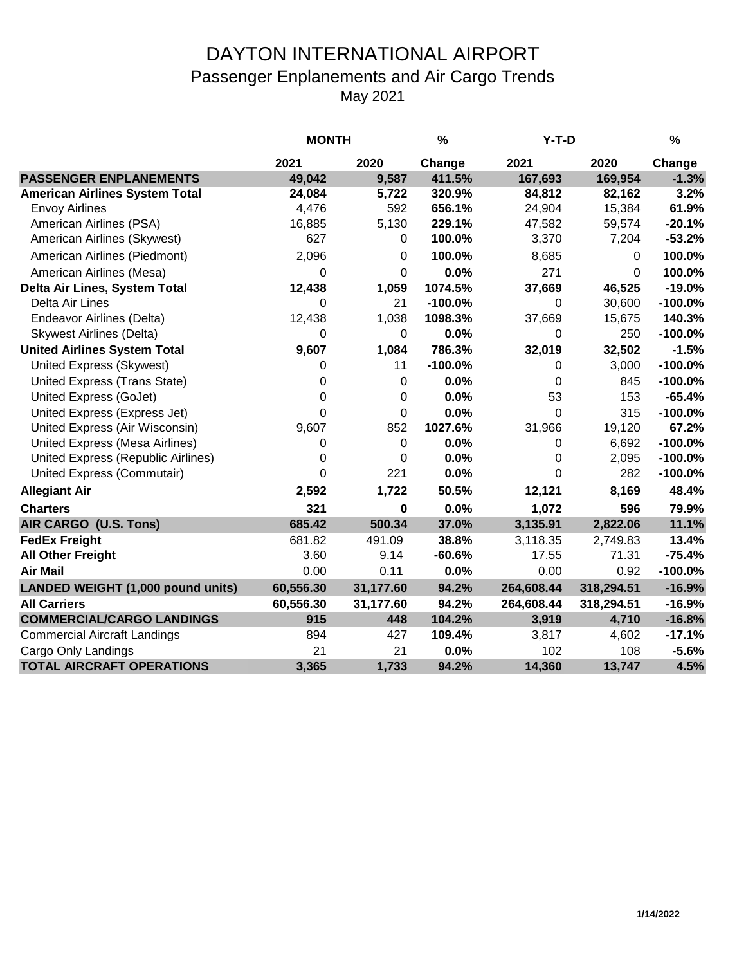## DAYTON INTERNATIONAL AIRPORT Passenger Enplanements and Air Cargo Trends May 2021

|                                       | <b>MONTH</b> |             | $\frac{0}{0}$ | $Y-T-D$    |            | $\%$       |
|---------------------------------------|--------------|-------------|---------------|------------|------------|------------|
|                                       | 2021         | 2020        | Change        | 2021       | 2020       | Change     |
| <b>PASSENGER ENPLANEMENTS</b>         | 49,042       | 9,587       | 411.5%        | 167,693    | 169,954    | $-1.3%$    |
| <b>American Airlines System Total</b> | 24,084       | 5,722       | 320.9%        | 84,812     | 82,162     | 3.2%       |
| <b>Envoy Airlines</b>                 | 4,476        | 592         | 656.1%        | 24,904     | 15,384     | 61.9%      |
| American Airlines (PSA)               | 16,885       | 5,130       | 229.1%        | 47,582     | 59,574     | $-20.1%$   |
| American Airlines (Skywest)           | 627          | 0           | 100.0%        | 3,370      | 7,204      | $-53.2%$   |
| American Airlines (Piedmont)          | 2,096        | $\Omega$    | 100.0%        | 8,685      | $\Omega$   | 100.0%     |
| American Airlines (Mesa)              | $\Omega$     | 0           | 0.0%          | 271        | $\Omega$   | 100.0%     |
| Delta Air Lines, System Total         | 12,438       | 1,059       | 1074.5%       | 37,669     | 46,525     | $-19.0%$   |
| Delta Air Lines                       | 0            | 21          | $-100.0%$     | 0          | 30,600     | $-100.0%$  |
| Endeavor Airlines (Delta)             | 12,438       | 1,038       | 1098.3%       | 37,669     | 15,675     | 140.3%     |
| <b>Skywest Airlines (Delta)</b>       | 0            | 0           | 0.0%          | 0          | 250        | $-100.0\%$ |
| <b>United Airlines System Total</b>   | 9,607        | 1,084       | 786.3%        | 32,019     | 32,502     | $-1.5%$    |
| United Express (Skywest)              | 0            | 11          | $-100.0%$     | 0          | 3,000      | $-100.0\%$ |
| United Express (Trans State)          | 0            | 0           | 0.0%          | 0          | 845        | $-100.0%$  |
| United Express (GoJet)                | 0            | 0           | 0.0%          | 53         | 153        | $-65.4%$   |
| United Express (Express Jet)          | 0            | 0           | 0.0%          | $\Omega$   | 315        | $-100.0%$  |
| United Express (Air Wisconsin)        | 9,607        | 852         | 1027.6%       | 31,966     | 19,120     | 67.2%      |
| United Express (Mesa Airlines)        | 0            | $\mathbf 0$ | 0.0%          | 0          | 6,692      | $-100.0%$  |
| United Express (Republic Airlines)    | 0            | 0           | 0.0%          | 0          | 2,095      | $-100.0\%$ |
| United Express (Commutair)            | 0            | 221         | 0.0%          | $\Omega$   | 282        | $-100.0\%$ |
| <b>Allegiant Air</b>                  | 2,592        | 1,722       | 50.5%         | 12,121     | 8,169      | 48.4%      |
| <b>Charters</b>                       | 321          | 0           | 0.0%          | 1,072      | 596        | 79.9%      |
| AIR CARGO (U.S. Tons)                 | 685.42       | 500.34      | 37.0%         | 3,135.91   | 2,822.06   | 11.1%      |
| <b>FedEx Freight</b>                  | 681.82       | 491.09      | 38.8%         | 3,118.35   | 2,749.83   | 13.4%      |
| <b>All Other Freight</b>              | 3.60         | 9.14        | $-60.6%$      | 17.55      | 71.31      | $-75.4%$   |
| <b>Air Mail</b>                       | 0.00         | 0.11        | 0.0%          | 0.00       | 0.92       | $-100.0%$  |
| LANDED WEIGHT (1,000 pound units)     | 60,556.30    | 31,177.60   | 94.2%         | 264,608.44 | 318,294.51 | $-16.9%$   |
| <b>All Carriers</b>                   | 60,556.30    | 31,177.60   | 94.2%         | 264,608.44 | 318,294.51 | $-16.9%$   |
| <b>COMMERCIAL/CARGO LANDINGS</b>      | 915          | 448         | 104.2%        | 3,919      | 4,710      | $-16.8%$   |
| <b>Commercial Aircraft Landings</b>   | 894          | 427         | 109.4%        | 3,817      | 4,602      | $-17.1%$   |
| Cargo Only Landings                   | 21           | 21          | 0.0%          | 102        | 108        | $-5.6%$    |
| <b>TOTAL AIRCRAFT OPERATIONS</b>      | 3,365        | 1,733       | 94.2%         | 14,360     | 13,747     | 4.5%       |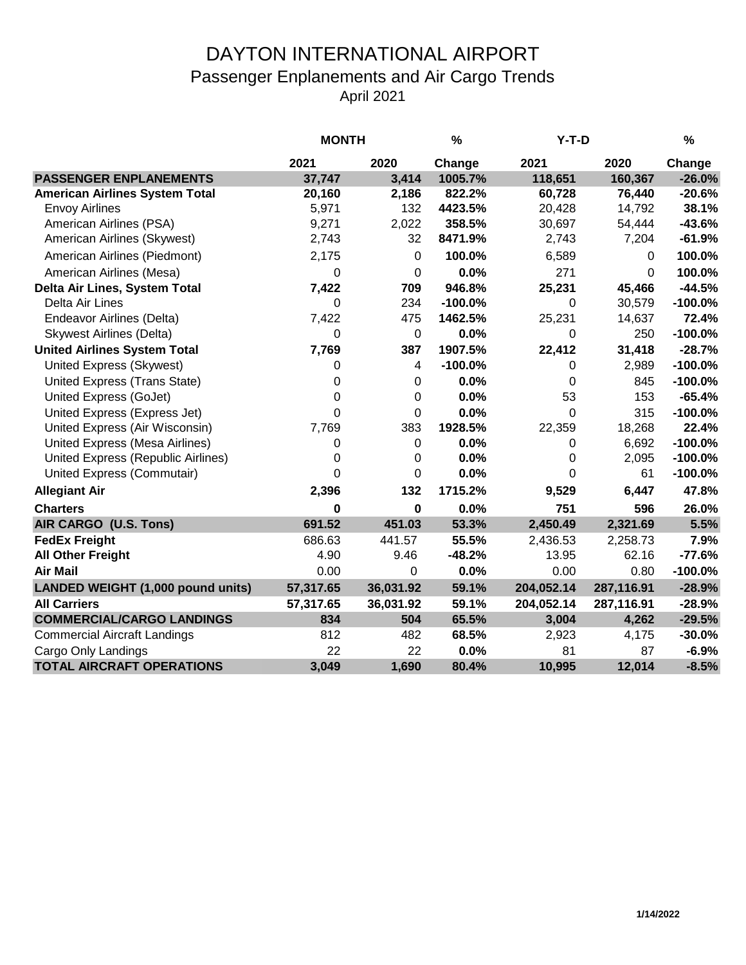## DAYTON INTERNATIONAL AIRPORT Passenger Enplanements and Air Cargo Trends April 2021

|                                          | <b>MONTH</b> |             | %          | $Y-T-D$    |            | $\%$       |
|------------------------------------------|--------------|-------------|------------|------------|------------|------------|
|                                          | 2021         | 2020        | Change     | 2021       | 2020       | Change     |
| <b>PASSENGER ENPLANEMENTS</b>            | 37,747       | 3,414       | 1005.7%    | 118,651    | 160,367    | $-26.0%$   |
| <b>American Airlines System Total</b>    | 20,160       | 2,186       | 822.2%     | 60,728     | 76,440     | $-20.6%$   |
| <b>Envoy Airlines</b>                    | 5,971        | 132         | 4423.5%    | 20,428     | 14,792     | 38.1%      |
| American Airlines (PSA)                  | 9,271        | 2,022       | 358.5%     | 30,697     | 54,444     | $-43.6%$   |
| American Airlines (Skywest)              | 2,743        | 32          | 8471.9%    | 2,743      | 7,204      | $-61.9%$   |
| American Airlines (Piedmont)             | 2,175        | $\mathbf 0$ | 100.0%     | 6,589      | 0          | 100.0%     |
| American Airlines (Mesa)                 | 0            | 0           | 0.0%       | 271        | $\Omega$   | 100.0%     |
| Delta Air Lines, System Total            | 7,422        | 709         | 946.8%     | 25,231     | 45,466     | $-44.5%$   |
| Delta Air Lines                          | 0            | 234         | $-100.0%$  | 0          | 30,579     | $-100.0%$  |
| <b>Endeavor Airlines (Delta)</b>         | 7,422        | 475         | 1462.5%    | 25,231     | 14,637     | 72.4%      |
| Skywest Airlines (Delta)                 | 0            | $\mathbf 0$ | 0.0%       | 0          | 250        | $-100.0%$  |
| <b>United Airlines System Total</b>      | 7,769        | 387         | 1907.5%    | 22,412     | 31,418     | $-28.7%$   |
| United Express (Skywest)                 | 0            | 4           | $-100.0\%$ | 0          | 2,989      | $-100.0\%$ |
| United Express (Trans State)             | 0            | 0           | 0.0%       | 0          | 845        | $-100.0%$  |
| <b>United Express (GoJet)</b>            | 0            | 0           | 0.0%       | 53         | 153        | $-65.4%$   |
| United Express (Express Jet)             | 0            | 0           | 0.0%       | 0          | 315        | $-100.0%$  |
| United Express (Air Wisconsin)           | 7,769        | 383         | 1928.5%    | 22,359     | 18,268     | 22.4%      |
| United Express (Mesa Airlines)           | 0            | $\mathbf 0$ | 0.0%       | 0          | 6,692      | $-100.0%$  |
| United Express (Republic Airlines)       | 0            | 0           | 0.0%       | 0          | 2,095      | $-100.0\%$ |
| United Express (Commutair)               | 0            | $\mathbf 0$ | 0.0%       | 0          | 61         | $-100.0%$  |
| <b>Allegiant Air</b>                     | 2,396        | 132         | 1715.2%    | 9,529      | 6,447      | 47.8%      |
| <b>Charters</b>                          | 0            | 0           | 0.0%       | 751        | 596        | 26.0%      |
| AIR CARGO (U.S. Tons)                    | 691.52       | 451.03      | 53.3%      | 2,450.49   | 2,321.69   | 5.5%       |
| <b>FedEx Freight</b>                     | 686.63       | 441.57      | 55.5%      | 2,436.53   | 2,258.73   | 7.9%       |
| <b>All Other Freight</b>                 | 4.90         | 9.46        | $-48.2%$   | 13.95      | 62.16      | $-77.6%$   |
| <b>Air Mail</b>                          | 0.00         | 0           | 0.0%       | 0.00       | 0.80       | $-100.0%$  |
| <b>LANDED WEIGHT (1,000 pound units)</b> | 57,317.65    | 36,031.92   | 59.1%      | 204,052.14 | 287,116.91 | $-28.9%$   |
| <b>All Carriers</b>                      | 57,317.65    | 36,031.92   | 59.1%      | 204,052.14 | 287,116.91 | $-28.9%$   |
| <b>COMMERCIAL/CARGO LANDINGS</b>         | 834          | 504         | 65.5%      | 3,004      | 4,262      | $-29.5%$   |
| <b>Commercial Aircraft Landings</b>      | 812          | 482         | 68.5%      | 2,923      | 4,175      | $-30.0%$   |
| Cargo Only Landings                      | 22           | 22          | 0.0%       | 81         | 87         | $-6.9%$    |
| <b>TOTAL AIRCRAFT OPERATIONS</b>         | 3,049        | 1,690       | 80.4%      | 10,995     | 12,014     | $-8.5%$    |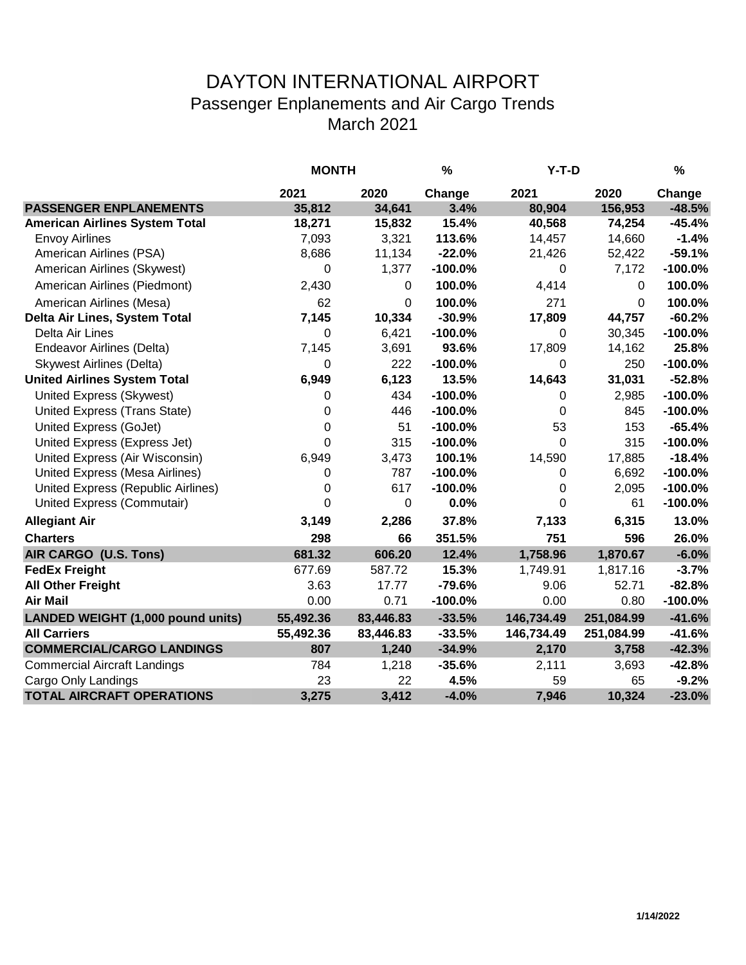# DAYTON INTERNATIONAL AIRPORT Passenger Enplanements and Air Cargo Trends March 2021

|                                          | <b>MONTH</b> |             | %          | $Y-T-D$    |            | $\%$       |
|------------------------------------------|--------------|-------------|------------|------------|------------|------------|
|                                          | 2021         | 2020        | Change     | 2021       | 2020       | Change     |
| <b>PASSENGER ENPLANEMENTS</b>            | 35,812       | 34,641      | 3.4%       | 80,904     | 156,953    | $-48.5%$   |
| <b>American Airlines System Total</b>    | 18,271       | 15,832      | 15.4%      | 40,568     | 74,254     | $-45.4%$   |
| <b>Envoy Airlines</b>                    | 7,093        | 3,321       | 113.6%     | 14,457     | 14,660     | $-1.4%$    |
| American Airlines (PSA)                  | 8,686        | 11,134      | $-22.0%$   | 21,426     | 52,422     | $-59.1%$   |
| American Airlines (Skywest)              | 0            | 1,377       | $-100.0%$  | 0          | 7,172      | $-100.0%$  |
| American Airlines (Piedmont)             | 2,430        | 0           | 100.0%     | 4,414      | 0          | 100.0%     |
| American Airlines (Mesa)                 | 62           | 0           | 100.0%     | 271        | 0          | 100.0%     |
| Delta Air Lines, System Total            | 7,145        | 10,334      | $-30.9%$   | 17,809     | 44,757     | $-60.2%$   |
| Delta Air Lines                          | 0            | 6,421       | $-100.0%$  | 0          | 30,345     | $-100.0\%$ |
| Endeavor Airlines (Delta)                | 7,145        | 3,691       | 93.6%      | 17,809     | 14,162     | 25.8%      |
| <b>Skywest Airlines (Delta)</b>          | 0            | 222         | $-100.0%$  | 0          | 250        | $-100.0\%$ |
| <b>United Airlines System Total</b>      | 6,949        | 6,123       | 13.5%      | 14,643     | 31,031     | $-52.8%$   |
| United Express (Skywest)                 | 0            | 434         | $-100.0\%$ | 0          | 2,985      | $-100.0\%$ |
| United Express (Trans State)             | 0            | 446         | $-100.0%$  | 0          | 845        | $-100.0\%$ |
| <b>United Express (GoJet)</b>            | 0            | 51          | $-100.0%$  | 53         | 153        | $-65.4%$   |
| United Express (Express Jet)             | 0            | 315         | $-100.0\%$ | 0          | 315        | $-100.0%$  |
| United Express (Air Wisconsin)           | 6,949        | 3,473       | 100.1%     | 14,590     | 17,885     | $-18.4%$   |
| United Express (Mesa Airlines)           | 0            | 787         | $-100.0\%$ | 0          | 6,692      | $-100.0%$  |
| United Express (Republic Airlines)       | 0            | 617         | $-100.0\%$ | 0          | 2,095      | $-100.0%$  |
| United Express (Commutair)               | 0            | $\mathbf 0$ | 0.0%       | 0          | 61         | $-100.0\%$ |
| <b>Allegiant Air</b>                     | 3,149        | 2,286       | 37.8%      | 7,133      | 6,315      | 13.0%      |
| <b>Charters</b>                          | 298          | 66          | 351.5%     | 751        | 596        | 26.0%      |
| AIR CARGO (U.S. Tons)                    | 681.32       | 606.20      | 12.4%      | 1,758.96   | 1,870.67   | $-6.0%$    |
| <b>FedEx Freight</b>                     | 677.69       | 587.72      | 15.3%      | 1,749.91   | 1,817.16   | $-3.7%$    |
| <b>All Other Freight</b>                 | 3.63         | 17.77       | $-79.6%$   | 9.06       | 52.71      | $-82.8%$   |
| <b>Air Mail</b>                          | 0.00         | 0.71        | $-100.0\%$ | 0.00       | 0.80       | $-100.0\%$ |
| <b>LANDED WEIGHT (1,000 pound units)</b> | 55,492.36    | 83,446.83   | $-33.5%$   | 146,734.49 | 251,084.99 | $-41.6%$   |
| <b>All Carriers</b>                      | 55,492.36    | 83,446.83   | $-33.5%$   | 146,734.49 | 251,084.99 | $-41.6%$   |
| <b>COMMERCIAL/CARGO LANDINGS</b>         | 807          | 1,240       | $-34.9%$   | 2,170      | 3,758      | $-42.3%$   |
| <b>Commercial Aircraft Landings</b>      | 784          | 1,218       | $-35.6%$   | 2,111      | 3,693      | $-42.8%$   |
| Cargo Only Landings                      | 23           | 22          | 4.5%       | 59         | 65         | $-9.2%$    |
| <b>TOTAL AIRCRAFT OPERATIONS</b>         | 3,275        | 3,412       | $-4.0%$    | 7,946      | 10,324     | $-23.0%$   |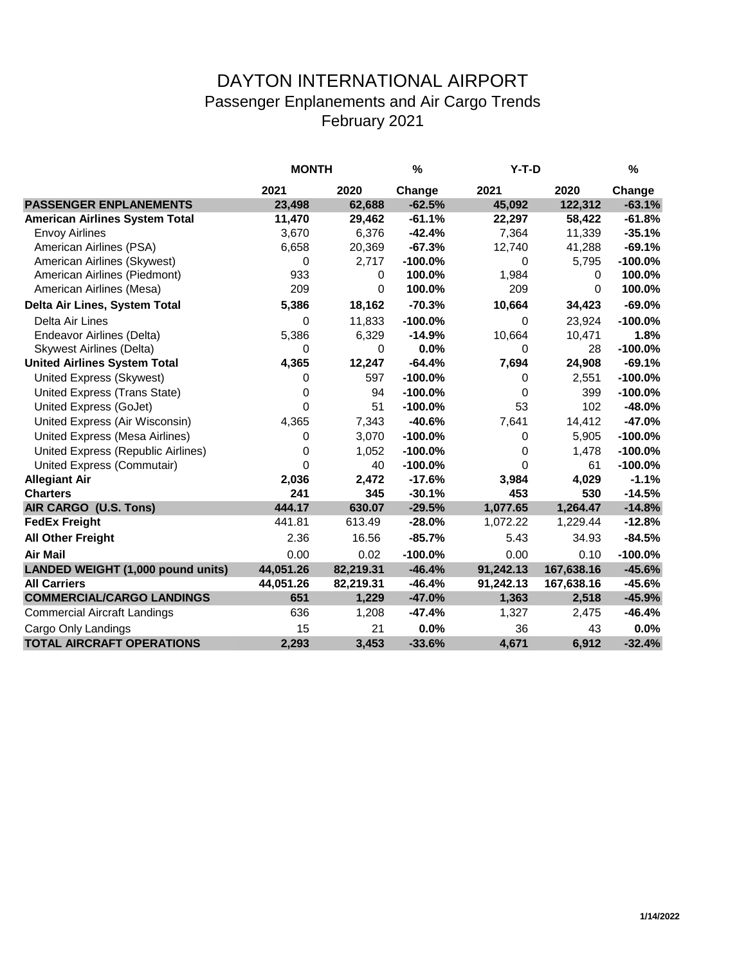#### DAYTON INTERNATIONAL AIRPORT Passenger Enplanements and Air Cargo Trends February 2021

|                                       | <b>MONTH</b> |           | %          | Y-T-D     |            | %          |
|---------------------------------------|--------------|-----------|------------|-----------|------------|------------|
|                                       | 2021         | 2020      | Change     | 2021      | 2020       | Change     |
| <b>PASSENGER ENPLANEMENTS</b>         | 23,498       | 62,688    | $-62.5%$   | 45,092    | 122,312    | $-63.1%$   |
| <b>American Airlines System Total</b> | 11,470       | 29,462    | $-61.1%$   | 22,297    | 58,422     | $-61.8%$   |
| <b>Envoy Airlines</b>                 | 3,670        | 6,376     | $-42.4%$   | 7,364     | 11,339     | $-35.1%$   |
| American Airlines (PSA)               | 6,658        | 20,369    | $-67.3%$   | 12,740    | 41,288     | $-69.1%$   |
| American Airlines (Skywest)           | 0            | 2,717     | $-100.0%$  | $\Omega$  | 5,795      | $-100.0\%$ |
| American Airlines (Piedmont)          | 933          | 0         | 100.0%     | 1,984     | 0          | 100.0%     |
| American Airlines (Mesa)              | 209          | $\Omega$  | 100.0%     | 209       | 0          | 100.0%     |
| Delta Air Lines, System Total         | 5,386        | 18,162    | $-70.3%$   | 10,664    | 34,423     | $-69.0%$   |
| Delta Air Lines                       | 0            | 11,833    | $-100.0%$  | 0         | 23,924     | $-100.0\%$ |
| Endeavor Airlines (Delta)             | 5,386        | 6,329     | $-14.9%$   | 10,664    | 10,471     | 1.8%       |
| <b>Skywest Airlines (Delta)</b>       | 0            | 0         | 0.0%       | 0         | 28         | $-100.0\%$ |
| <b>United Airlines System Total</b>   | 4,365        | 12,247    | $-64.4%$   | 7,694     | 24,908     | $-69.1%$   |
| United Express (Skywest)              | 0            | 597       | $-100.0%$  | 0         | 2,551      | $-100.0\%$ |
| United Express (Trans State)          | 0            | 94        | $-100.0\%$ | 0         | 399        | $-100.0\%$ |
| United Express (GoJet)                | 0            | 51        | $-100.0%$  | 53        | 102        | $-48.0%$   |
| United Express (Air Wisconsin)        | 4,365        | 7,343     | $-40.6%$   | 7,641     | 14,412     | $-47.0%$   |
| United Express (Mesa Airlines)        | 0            | 3,070     | $-100.0%$  | 0         | 5,905      | $-100.0\%$ |
| United Express (Republic Airlines)    | 0            | 1,052     | $-100.0%$  | 0         | 1,478      | $-100.0\%$ |
| United Express (Commutair)            | 0            | 40        | $-100.0%$  | 0         | 61         | $-100.0\%$ |
| <b>Allegiant Air</b>                  | 2,036        | 2,472     | $-17.6%$   | 3,984     | 4,029      | $-1.1%$    |
| <b>Charters</b>                       | 241          | 345       | $-30.1%$   | 453       | 530        | $-14.5%$   |
| AIR CARGO (U.S. Tons)                 | 444.17       | 630.07    | $-29.5%$   | 1,077.65  | 1,264.47   | $-14.8%$   |
| <b>FedEx Freight</b>                  | 441.81       | 613.49    | $-28.0%$   | 1,072.22  | 1,229.44   | $-12.8%$   |
| <b>All Other Freight</b>              | 2.36         | 16.56     | $-85.7%$   | 5.43      | 34.93      | $-84.5%$   |
| <b>Air Mail</b>                       | 0.00         | 0.02      | $-100.0%$  | 0.00      | 0.10       | $-100.0\%$ |
| LANDED WEIGHT (1,000 pound units)     | 44,051.26    | 82,219.31 | $-46.4%$   | 91,242.13 | 167,638.16 | $-45.6%$   |
| <b>All Carriers</b>                   | 44,051.26    | 82,219.31 | $-46.4%$   | 91,242.13 | 167,638.16 | $-45.6%$   |
| <b>COMMERCIAL/CARGO LANDINGS</b>      | 651          | 1,229     | $-47.0%$   | 1,363     | 2,518      | $-45.9%$   |
| <b>Commercial Aircraft Landings</b>   | 636          | 1,208     | $-47.4%$   | 1,327     | 2,475      | $-46.4%$   |
| Cargo Only Landings                   | 15           | 21        | 0.0%       | 36        | 43         | 0.0%       |
| <b>TOTAL AIRCRAFT OPERATIONS</b>      | 2,293        | 3,453     | $-33.6%$   | 4,671     | 6,912      | $-32.4%$   |